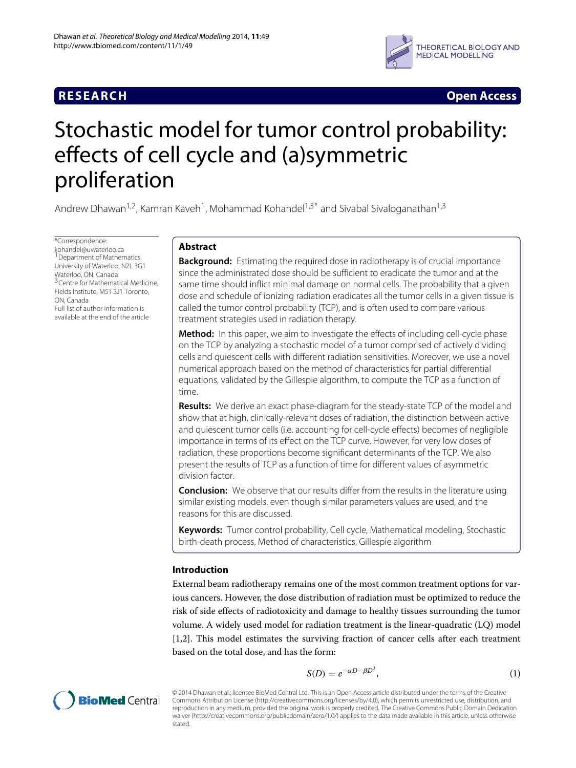

**RESEARCH Open Access**

# Stochastic model for tumor control probability: effects of cell cycle and (a)symmetric proliferation

Andrew Dhawan<sup>1,2</sup>, Kamran Kaveh<sup>1</sup>, Mohammad Kohandel<sup>1,3\*</sup> and Sivabal Sivaloganathan<sup>1,3</sup>

\*Correspondence: [kohandel@uwaterloo.ca](mailto: kohandel@uwaterloo.ca)<br><sup>1</sup> Department of Mathematics, University of Waterloo, N2L 3G1 Waterloo, ON, Canada <sup>3</sup>Centre for Mathematical Medicine, Fields Institute, M5T 3J1 Toronto, ON, Canada Full list of author information is available at the end of the article

# **Abstract**

**Background:** Estimating the required dose in radiotherapy is of crucial importance since the administrated dose should be sufficient to eradicate the tumor and at the same time should inflict minimal damage on normal cells. The probability that a given dose and schedule of ionizing radiation eradicates all the tumor cells in a given tissue is called the tumor control probability (TCP), and is often used to compare various treatment strategies used in radiation therapy.

**Method:** In this paper, we aim to investigate the effects of including cell-cycle phase on the TCP by analyzing a stochastic model of a tumor comprised of actively dividing cells and quiescent cells with different radiation sensitivities. Moreover, we use a novel numerical approach based on the method of characteristics for partial differential equations, validated by the Gillespie algorithm, to compute the TCP as a function of time.

**Results:** We derive an exact phase-diagram for the steady-state TCP of the model and show that at high, clinically-relevant doses of radiation, the distinction between active and quiescent tumor cells (i.e. accounting for cell-cycle effects) becomes of negligible importance in terms of its effect on the TCP curve. However, for very low doses of radiation, these proportions become significant determinants of the TCP. We also present the results of TCP as a function of time for different values of asymmetric division factor.

**Conclusion:** We observe that our results differ from the results in the literature using similar existing models, even though similar parameters values are used, and the reasons for this are discussed.

**Keywords:** Tumor control probability, Cell cycle, Mathematical modeling, Stochastic birth-death process, Method of characteristics, Gillespie algorithm

# **Introduction**

External beam radiotherapy remains one of the most common treatment options for various cancers. However, the dose distribution of radiation must be optimized to reduce the risk of side effects of radiotoxicity and damage to healthy tissues surrounding the tumor volume. A widely used model for radiation treatment is the linear-quadratic (LQ) model [\[1](#page-11-0)[,2\]](#page-11-1). This model estimates the surviving fraction of cancer cells after each treatment based on the total dose, and has the form:

<span id="page-0-0"></span>
$$
S(D) = e^{-\alpha D - \beta D^2},\tag{1}
$$



© 2014 Dhawan et al.; licensee BioMed Central Ltd. This is an Open Access article distributed under the terms of the Creative Commons Attribution License [\(http://creativecommons.org/licenses/by/4.0\)](http://creativecommons.org/licenses/by/4.0), which permits unrestricted use, distribution, and reproduction in any medium, provided the original work is properly credited. The Creative Commons Public Domain Dedication waiver [\(http://creativecommons.org/publicdomain/zero/1.0/\)](http://creativecommons.org/publicdomain/zero/1.0/) applies to the data made available in this article, unless otherwise stated.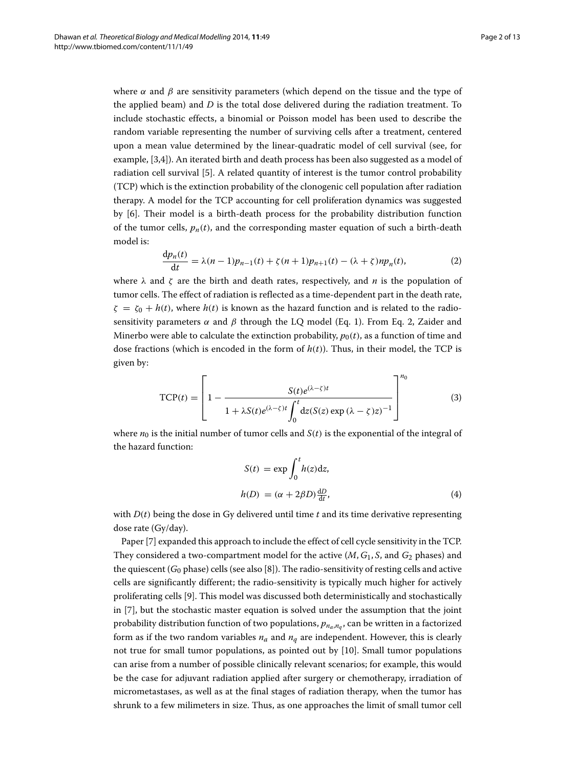where  $\alpha$  and  $\beta$  are sensitivity parameters (which depend on the tissue and the type of the applied beam) and *D* is the total dose delivered during the radiation treatment. To include stochastic effects, a binomial or Poisson model has been used to describe the random variable representing the number of surviving cells after a treatment, centered upon a mean value determined by the linear-quadratic model of cell survival (see, for example, [\[3,](#page-11-2)[4\]](#page-11-3)). An iterated birth and death process has been also suggested as a model of radiation cell survival [\[5\]](#page-11-4). A related quantity of interest is the tumor control probability (TCP) which is the extinction probability of the clonogenic cell population after radiation therapy. A model for the TCP accounting for cell proliferation dynamics was suggested by [\[6\]](#page-11-5). Their model is a birth-death process for the probability distribution function of the tumor cells,  $p_n(t)$ , and the corresponding master equation of such a birth-death model is:

<span id="page-1-0"></span>
$$
\frac{dp_n(t)}{dt} = \lambda(n-1)p_{n-1}(t) + \zeta(n+1)p_{n+1}(t) - (\lambda + \zeta)np_n(t),
$$
\n(2)

where λ and ζ are the birth and death rates, respectively, and *n* is the population of tumor cells. The effect of radiation is reflected as a time-dependent part in the death rate,  $\zeta = \zeta_0 + h(t)$ , where  $h(t)$  is known as the hazard function and is related to the radiosensitivity parameters  $\alpha$  and  $\beta$  through the LQ model (Eq. [1\)](#page-0-0). From Eq. [2,](#page-1-0) Zaider and Minerbo were able to calculate the extinction probability,  $p_0(t)$ , as a function of time and dose fractions (which is encoded in the form of *h*(*t*)). Thus, in their model, the TCP is given by:

$$
\text{TCP}(t) = \left[1 - \frac{S(t)e^{(\lambda - \zeta)t}}{1 + \lambda S(t)e^{(\lambda - \zeta)t} \int_0^t dz(S(z) \exp{(\lambda - \zeta)z})^{-1}}\right]^{n_0}
$$
(3)

where  $n_0$  is the initial number of tumor cells and  $S(t)$  is the exponential of the integral of the hazard function:

$$
S(t) = \exp \int_0^t h(z)dz,
$$
  
\n
$$
h(D) = (\alpha + 2\beta D) \frac{dD}{dt},
$$
\n(4)

with  $D(t)$  being the dose in Gy delivered until time  $t$  and its time derivative representing dose rate (Gy/day).

Paper [\[7\]](#page-11-6) expanded this approach to include the effect of cell cycle sensitivity in the TCP. They considered a two-compartment model for the active (*M*, *G*1, *S*, and *G*<sup>2</sup> phases) and the quiescent (*G*<sup>0</sup> phase) cells (see also [\[8\]](#page-12-0)). The radio-sensitivity of resting cells and active cells are significantly different; the radio-sensitivity is typically much higher for actively proliferating cells [\[9\]](#page-12-1). This model was discussed both deterministically and stochastically in [\[7\]](#page-11-6), but the stochastic master equation is solved under the assumption that the joint probability distribution function of two populations,  $p_{n_a,n_a}$ , can be written in a factorized form as if the two random variables  $n_a$  and  $n_q$  are independent. However, this is clearly not true for small tumor populations, as pointed out by [\[10\]](#page-12-2). Small tumor populations can arise from a number of possible clinically relevant scenarios; for example, this would be the case for adjuvant radiation applied after surgery or chemotherapy, irradiation of micrometastases, as well as at the final stages of radiation therapy, when the tumor has shrunk to a few milimeters in size. Thus, as one approaches the limit of small tumor cell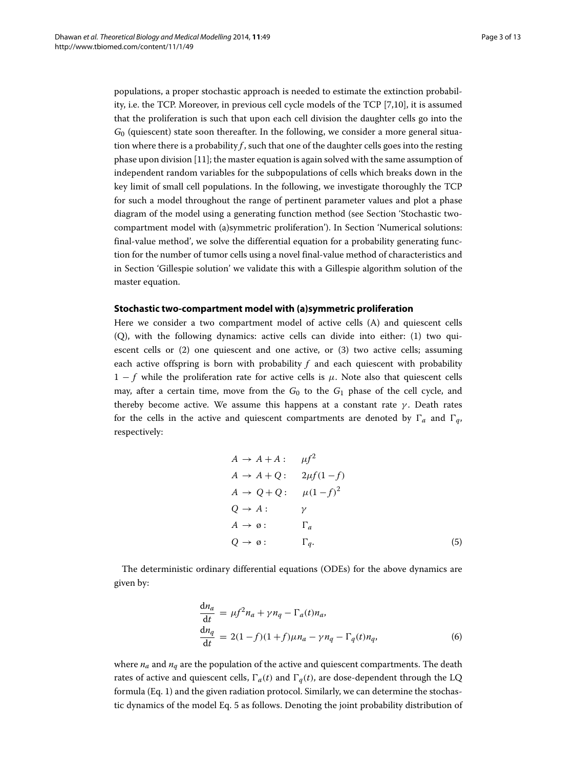populations, a proper stochastic approach is needed to estimate the extinction probability, i.e. the TCP. Moreover, in previous cell cycle models of the TCP [\[7,](#page-11-6)[10\]](#page-12-2), it is assumed that the proliferation is such that upon each cell division the daughter cells go into the *G*<sup>0</sup> (quiescent) state soon thereafter. In the following, we consider a more general situation where there is a probability *f* , such that one of the daughter cells goes into the resting phase upon division [\[11\]](#page-12-3); the master equation is again solved with the same assumption of independent random variables for the subpopulations of cells which breaks down in the key limit of small cell populations. In the following, we investigate thoroughly the TCP for such a model throughout the range of pertinent parameter values and plot a phase diagram of the model using a generating function method (see Section ['Stochastic two](#page-2-0)[compartment model with \(a\)symmetric proliferation'](#page-2-0)). In Section ['Numerical solutions:](#page-5-0) [final-value method'](#page-5-0), we solve the differential equation for a probability generating function for the number of tumor cells using a novel final-value method of characteristics and in Section ['Gillespie solution'](#page-7-0) we validate this with a Gillespie algorithm solution of the master equation.

#### <span id="page-2-2"></span>**Stochastic two-compartment model with (a)symmetric proliferation**

<span id="page-2-0"></span>Here we consider a two compartment model of active cells (A) and quiescent cells (Q), with the following dynamics: active cells can divide into either: (1) two quiescent cells or (2) one quiescent and one active, or (3) two active cells; assuming each active offspring is born with probability  $f$  and each quiescent with probability 1  $-f$  while the proliferation rate for active cells is  $\mu$ . Note also that quiescent cells may, after a certain time, move from the *G*<sup>0</sup> to the *G*<sup>1</sup> phase of the cell cycle, and thereby become active. We assume this happens at a constant rate  $\gamma$ . Death rates for the cells in the active and quiescent compartments are denoted by  $\Gamma_a$  and  $\Gamma_a$ , respectively:

<span id="page-2-1"></span>
$$
A \rightarrow A + A: \quad \mu f^{2}
$$
\n
$$
A \rightarrow A + Q: \quad 2\mu f(1 - f)
$$
\n
$$
A \rightarrow Q + Q: \quad \mu (1 - f)^{2}
$$
\n
$$
Q \rightarrow A: \quad \gamma
$$
\n
$$
A \rightarrow \varnothing: \quad \Gamma_{a}
$$
\n
$$
Q \rightarrow \varnothing: \quad \Gamma_{q}.
$$
\n(5)

The deterministic ordinary differential equations (ODEs) for the above dynamics are given by:

$$
\frac{dn_a}{dt} = \mu f^2 n_a + \gamma n_q - \Gamma_a(t) n_a,
$$
  
\n
$$
\frac{dn_q}{dt} = 2(1 - f)(1 + f)\mu n_a - \gamma n_q - \Gamma_q(t) n_q,
$$
\n(6)

where  $n_a$  and  $n_q$  are the population of the active and quiescent compartments. The death rates of active and quiescent cells,  $\Gamma_a(t)$  and  $\Gamma_q(t)$ , are dose-dependent through the LQ formula (Eq. [1\)](#page-0-0) and the given radiation protocol. Similarly, we can determine the stochastic dynamics of the model Eq. [5](#page-2-1) as follows. Denoting the joint probability distribution of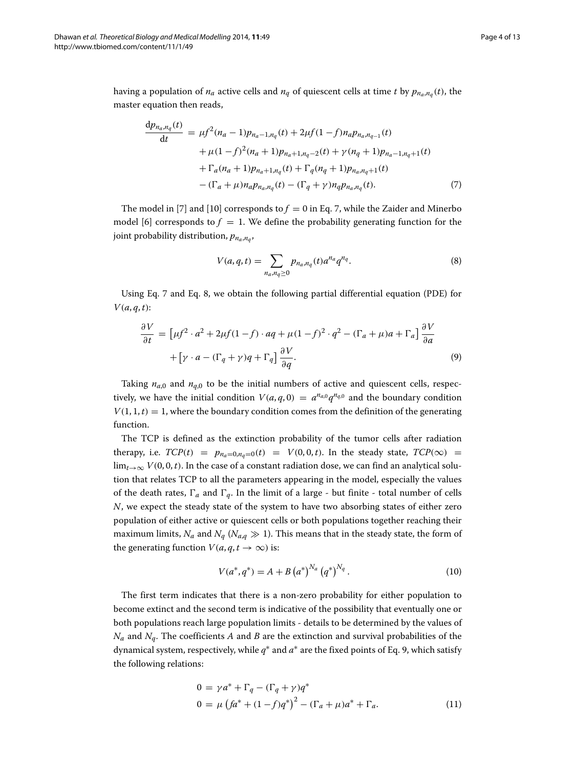having a population of  $n_a$  active cells and  $n_a$  of quiescent cells at time *t* by  $p_{n_a,n_a}(t)$ , the master equation then reads,

<span id="page-3-0"></span>
$$
\frac{dp_{n_a,n_q}(t)}{dt} = \mu f^2(n_a - 1)p_{n_a-1,n_q}(t) + 2\mu f(1 - f)n_a p_{n_a,n_{q-1}}(t) \n+ \mu (1 - f)^2(n_a + 1)p_{n_a+1,n_q-2}(t) + \gamma (n_q + 1)p_{n_a-1,n_q+1}(t) \n+ \Gamma_a(n_a + 1)p_{n_a+1,n_q}(t) + \Gamma_q(n_q + 1)p_{n_a,n_q+1}(t) \n- (\Gamma_a + \mu) n_a p_{n_a,n_q}(t) - (\Gamma_q + \gamma) n_q p_{n_a,n_q}(t).
$$
\n(7)

The model in [\[7\]](#page-11-6) and [\[10\]](#page-12-2) corresponds to  $f = 0$  in Eq. [7,](#page-3-0) while the Zaider and Minerbo model [\[6\]](#page-11-5) corresponds to  $f = 1$ . We define the probability generating function for the joint probability distribution,  $p_{n_a,n_a}$ ,

<span id="page-3-1"></span>
$$
V(a,q,t) = \sum_{n_a,n_q \ge 0} p_{n_a,n_q}(t) a^{n_a} q^{n_q}.
$$
 (8)

Using Eq. [7](#page-3-0) and Eq. [8,](#page-3-1) we obtain the following partial differential equation (PDE) for  $V(a, q, t)$ :

<span id="page-3-2"></span>
$$
\frac{\partial V}{\partial t} = \left[ \mu f^2 \cdot a^2 + 2\mu f (1 - f) \cdot aq + \mu (1 - f)^2 \cdot q^2 - (\Gamma_a + \mu)a + \Gamma_a \right] \frac{\partial V}{\partial a}
$$

$$
+ \left[ \gamma \cdot a - (\Gamma_q + \gamma)q + \Gamma_q \right] \frac{\partial V}{\partial q}.
$$
(9)

Taking  $n_{a,0}$  and  $n_{q,0}$  to be the initial numbers of active and quiescent cells, respectively, we have the initial condition  $V(a, q, 0) = a^{n_{a,0}}q^{n_{q,0}}$  and the boundary condition  $V(1, 1, t) = 1$ , where the boundary condition comes from the definition of the generating function.

The TCP is defined as the extinction probability of the tumor cells after radiation therapy, i.e.  $TCP(t) = p_{n_a=0,n_a=0}(t) = V(0,0,t)$ . In the steady state,  $TCP(\infty) =$  $\lim_{t\to\infty} V(0, 0, t)$ . In the case of a constant radiation dose, we can find an analytical solution that relates TCP to all the parameters appearing in the model, especially the values of the death rates,  $\Gamma_a$  and  $\Gamma_a$ . In the limit of a large - but finite - total number of cells *N*, we expect the steady state of the system to have two absorbing states of either zero population of either active or quiescent cells or both populations together reaching their maximum limits,  $N_a$  and  $N_q$  ( $N_{a,q} \gg 1$ ). This means that in the steady state, the form of the generating function  $V(a, q, t \rightarrow \infty)$  is:

$$
V(a^*, q^*) = A + B (a^*)^{N_a} (q^*)^{N_q}.
$$
 (10)

The first term indicates that there is a non-zero probability for either population to become extinct and the second term is indicative of the possibility that eventually one or both populations reach large population limits - details to be determined by the values of *Na* and *Nq*. The coefficients *A* and *B* are the extinction and survival probabilities of the dynamical system, respectively, while *q*∗ and *a*∗ are the fixed points of Eq. [9,](#page-3-2) which satisfy the following relations:

$$
0 = \gamma a^* + \Gamma_q - (\Gamma_q + \gamma) q^*
$$
  
\n
$$
0 = \mu \left( f a^* + (1 - f) q^* \right)^2 - (\Gamma_a + \mu) a^* + \Gamma_a.
$$
\n(11)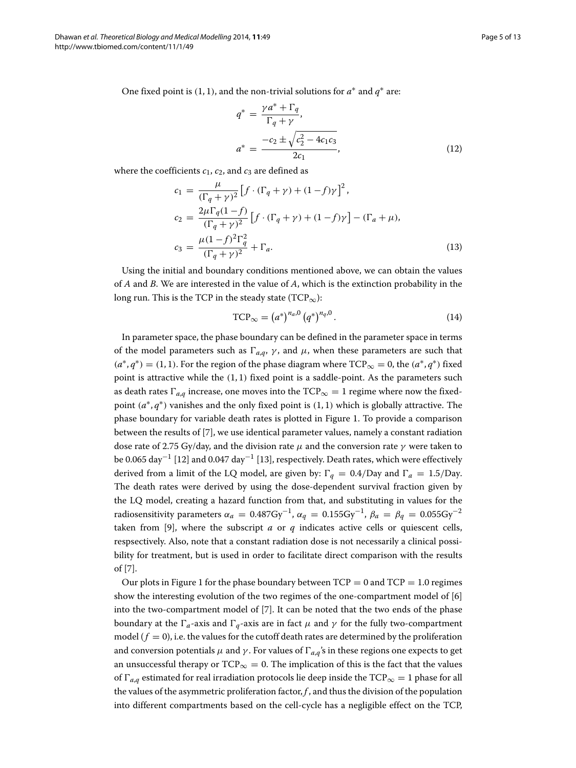One fixed point is (1, 1), and the non-trivial solutions for  $a^*$  and  $q^*$  are:

$$
q^* = \frac{\gamma a^* + \Gamma_q}{\Gamma_q + \gamma},
$$
  
\n
$$
a^* = \frac{-c_2 \pm \sqrt{c_2^2 - 4c_1 c_3}}{2c_1},
$$
\n(12)

where the coefficients  $c_1$ ,  $c_2$ , and  $c_3$  are defined as

$$
c_1 = \frac{\mu}{(\Gamma_q + \gamma)^2} \left[ f \cdot (\Gamma_q + \gamma) + (1 - f)\gamma \right]^2,
$$
  
\n
$$
c_2 = \frac{2\mu \Gamma_q (1 - f)}{(\Gamma_q + \gamma)^2} \left[ f \cdot (\Gamma_q + \gamma) + (1 - f)\gamma \right] - (\Gamma_a + \mu),
$$
  
\n
$$
c_3 = \frac{\mu (1 - f)^2 \Gamma_q^2}{(\Gamma_q + \gamma)^2} + \Gamma_a.
$$
\n(13)

Using the initial and boundary conditions mentioned above, we can obtain the values of *A* and *B*. We are interested in the value of *A*, which is the extinction probability in the long run. This is the TCP in the steady state (TCP $_{\infty}$ ):

$$
TCP_{\infty} = (a^*)^{n_a,0} (q^*)^{n_q,0}.
$$
 (14)

In parameter space, the phase boundary can be defined in the parameter space in terms of the model parameters such as  $\Gamma_{a,q}$ ,  $\gamma$ , and  $\mu$ , when these parameters are such that  $(a^*, q^*) = (1, 1)$ . For the region of the phase diagram where  $TCP_\infty = 0$ , the  $(a^*, q^*)$  fixed point is attractive while the  $(1, 1)$  fixed point is a saddle-point. As the parameters such as death rates  $\Gamma_{a,q}$  increase, one moves into the TCP<sub>∞</sub> = 1 regime where now the fixedpoint  $(a^*, q^*)$  vanishes and the only fixed point is  $(1, 1)$  which is globally attractive. The phase boundary for variable death rates is plotted in Figure [1.](#page-5-1) To provide a comparison between the results of [\[7\]](#page-11-6), we use identical parameter values, namely a constant radiation dose rate of 2.75 Gy/day, and the division rate  $\mu$  and the conversion rate  $\gamma$  were taken to be 0.065 day<sup>-1</sup> [\[12\]](#page-12-4) and 0.047 day<sup>-1</sup> [\[13\]](#page-12-5), respectively. Death rates, which were effectively derived from a limit of the LQ model, are given by:  $\Gamma_q = 0.4$ /Day and  $\Gamma_q = 1.5$ /Day. The death rates were derived by using the dose-dependent survival fraction given by the LQ model, creating a hazard function from that, and substituting in values for the radiosensitivity parameters  $\alpha_a = 0.487 \text{Gy}^{-1}$ ,  $\alpha_q = 0.155 \text{Gy}^{-1}$ ,  $\beta_a = \beta_q = 0.055 \text{Gy}^{-2}$ taken from  $[9]$ , where the subscript  $a$  or  $q$  indicates active cells or quiescent cells, respsectively. Also, note that a constant radiation dose is not necessarily a clinical possibility for treatment, but is used in order to facilitate direct comparison with the results of [\[7\]](#page-11-6).

Our plots in Figure [1](#page-5-1) for the phase boundary between  $TCP = 0$  and  $TCP = 1.0$  regimes show the interesting evolution of the two regimes of the one-compartment model of [\[6\]](#page-11-5) into the two-compartment model of [\[7\]](#page-11-6). It can be noted that the two ends of the phase boundary at the  $\Gamma_a$ -axis and  $\Gamma_a$ -axis are in fact  $\mu$  and  $\gamma$  for the fully two-compartment model  $(f = 0)$ , i.e. the values for the cutoff death rates are determined by the proliferation and conversion potentials  $\mu$  and  $\gamma$ . For values of  $\Gamma_{a,q}$ 's in these regions one expects to get an unsuccessful therapy or  $TCP_\infty = 0$ . The implication of this is the fact that the values of  $\Gamma_{a,q}$  estimated for real irradiation protocols lie deep inside the TCP<sub>∞</sub> = 1 phase for all the values of the asymmetric proliferation factor, *f* , and thus the division of the population into different compartments based on the cell-cycle has a negligible effect on the TCP,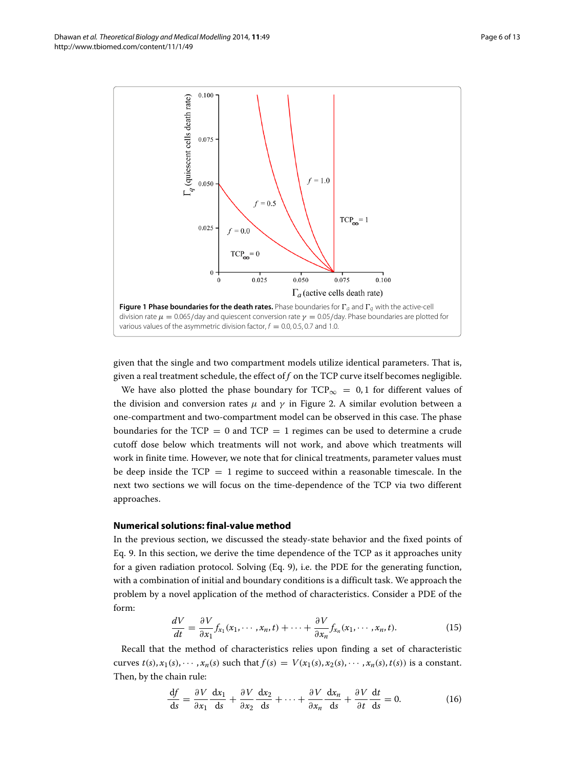

<span id="page-5-1"></span>given that the single and two compartment models utilize identical parameters. That is, given a real treatment schedule, the effect of *f* on the TCP curve itself becomes negligible.

We have also plotted the phase boundary for  $TCP_\infty = 0, 1$  for different values of the division and conversion rates  $\mu$  and  $\gamma$  in Figure [2.](#page-6-0) A similar evolution between a one-compartment and two-compartment model can be observed in this case. The phase boundaries for the  $TCP = 0$  and  $TCP = 1$  regimes can be used to determine a crude cutoff dose below which treatments will not work, and above which treatments will work in finite time. However, we note that for clinical treatments, parameter values must be deep inside the  $TCP = 1$  regime to succeed within a reasonable timescale. In the next two sections we will focus on the time-dependence of the TCP via two different approaches.

## **Numerical solutions: final-value method**

<span id="page-5-0"></span>In the previous section, we discussed the steady-state behavior and the fixed points of Eq. [9.](#page-3-2) In this section, we derive the time dependence of the TCP as it approaches unity for a given radiation protocol. Solving (Eq. [9\)](#page-3-2), i.e. the PDE for the generating function, with a combination of initial and boundary conditions is a difficult task. We approach the problem by a novel application of the method of characteristics. Consider a PDE of the form:

$$
\frac{dV}{dt} = \frac{\partial V}{\partial x_1} f_{x_1}(x_1, \cdots, x_n, t) + \cdots + \frac{\partial V}{\partial x_n} f_{x_n}(x_1, \cdots, x_n, t). \tag{15}
$$

Recall that the method of characteristics relies upon finding a set of characteristic curves  $t(s)$ ,  $x_1(s)$ ,  $\cdots$ ,  $x_n(s)$  such that  $f(s) = V(x_1(s), x_2(s), \cdots, x_n(s), t(s))$  is a constant. Then, by the chain rule:

$$
\frac{df}{ds} = \frac{\partial V}{\partial x_1} \frac{dx_1}{ds} + \frac{\partial V}{\partial x_2} \frac{dx_2}{ds} + \dots + \frac{\partial V}{\partial x_n} \frac{dx_n}{ds} + \frac{\partial V}{\partial t} \frac{dt}{ds} = 0.
$$
 (16)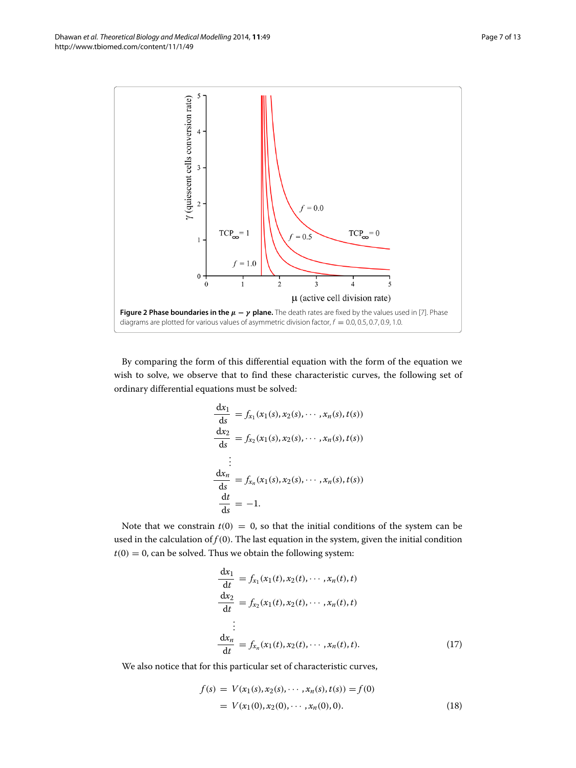

<span id="page-6-0"></span>By comparing the form of this differential equation with the form of the equation we wish to solve, we observe that to find these characteristic curves, the following set of ordinary differential equations must be solved:

$$
\frac{dx_1}{ds} = f_{x_1}(x_1(s), x_2(s), \cdots, x_n(s), t(s))
$$
  
\n
$$
\frac{dx_2}{ds} = f_{x_2}(x_1(s), x_2(s), \cdots, x_n(s), t(s))
$$
  
\n
$$
\vdots
$$
  
\n
$$
\frac{dx_n}{ds} = f_{x_n}(x_1(s), x_2(s), \cdots, x_n(s), t(s))
$$
  
\n
$$
\frac{dt}{ds} = -1.
$$

Note that we constrain  $t(0) = 0$ , so that the initial conditions of the system can be used in the calculation of  $f(0)$ . The last equation in the system, given the initial condition  $t(0) = 0$ , can be solved. Thus we obtain the following system:

<span id="page-6-1"></span>
$$
\frac{dx_1}{dt} = f_{x_1}(x_1(t), x_2(t), \cdots, x_n(t), t)
$$
\n
$$
\frac{dx_2}{dt} = f_{x_2}(x_1(t), x_2(t), \cdots, x_n(t), t)
$$
\n
$$
\vdots
$$
\n
$$
\frac{dx_n}{dt} = f_{x_n}(x_1(t), x_2(t), \cdots, x_n(t), t).
$$
\n(17)

We also notice that for this particular set of characteristic curves,

$$
f(s) = V(x_1(s), x_2(s), \cdots, x_n(s), t(s)) = f(0)
$$
  
=  $V(x_1(0), x_2(0), \cdots, x_n(0), 0).$  (18)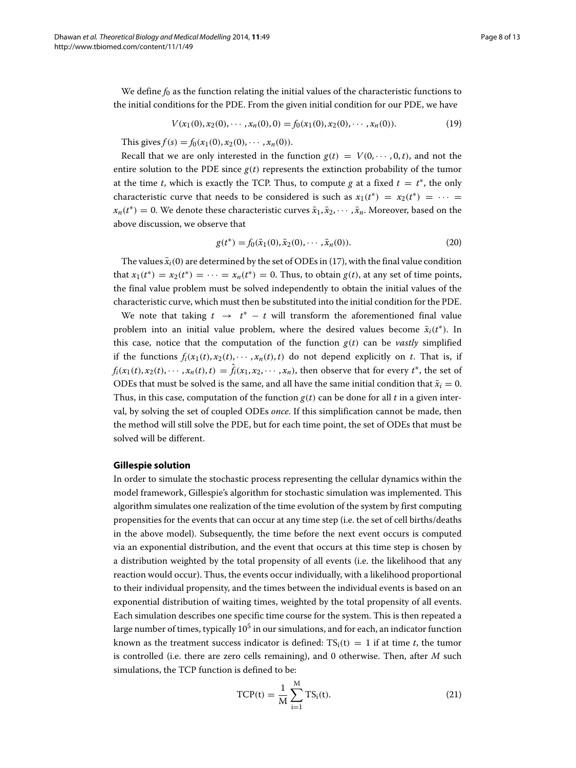We define  $f_0$  as the function relating the initial values of the characteristic functions to the initial conditions for the PDE. From the given initial condition for our PDE, we have

$$
V(x_1(0), x_2(0), \cdots, x_n(0), 0) = f_0(x_1(0), x_2(0), \cdots, x_n(0)).
$$
\n(19)

This gives  $f(s) = f_0(x_1(0), x_2(0), \dots, x_n(0)).$ 

Recall that we are only interested in the function  $g(t) = V(0, \dots, 0, t)$ , and not the entire solution to the PDE since  $g(t)$  represents the extinction probability of the tumor at the time *t*, which is exactly the TCP. Thus, to compute *g* at a fixed  $t = t^*$ , the only characteristic curve that needs to be considered is such as  $x_1(t^*) = x_2(t^*) = \cdots$  $x_n(t^*) = 0$ . We denote these characteristic curves  $\bar{x}_1, \bar{x}_2, \cdots, \bar{x}_n$ . Moreover, based on the above discussion, we observe that

$$
g(t^*) = f_0(\bar{x}_1(0), \bar{x}_2(0), \cdots, \bar{x}_n(0)).
$$
\n(20)

The values  $\bar{x}_i(0)$  are determined by the set of ODEs in [\(17\)](#page-6-1), with the final value condition that  $x_1(t^*) = x_2(t^*) = \cdots = x_n(t^*) = 0$ . Thus, to obtain  $g(t)$ , at any set of time points, the final value problem must be solved independently to obtain the initial values of the characteristic curve, which must then be substituted into the initial condition for the PDE.

We note that taking  $t \rightarrow t^* - t$  will transform the aforementioned final value problem into an initial value problem, where the desired values become  $\bar{x}_i(t^*)$ . In this case, notice that the computation of the function  $g(t)$  can be *vastly* simplified if the functions  $f_i(x_1(t), x_2(t), \dots, x_n(t), t)$  do not depend explicitly on *t*. That is, if  $f_i(x_1(t), x_2(t), \dots, x_n(t), t) = f_i(x_1, x_2, \dots, x_n)$ , then observe that for every  $t^*$ , the set of ODEs that must be solved is the same, and all have the same initial condition that  $\bar{x}_i = 0$ . Thus, in this case, computation of the function  $g(t)$  can be done for all  $t$  in a given interval, by solving the set of coupled ODEs *once*. If this simplification cannot be made, then the method will still solve the PDE, but for each time point, the set of ODEs that must be solved will be different.

# <span id="page-7-0"></span>**Gillespie solution**

In order to simulate the stochastic process representing the cellular dynamics within the model framework, Gillespie's algorithm for stochastic simulation was implemented. This algorithm simulates one realization of the time evolution of the system by first computing propensities for the events that can occur at any time step (i.e. the set of cell births/deaths in the above model). Subsequently, the time before the next event occurs is computed via an exponential distribution, and the event that occurs at this time step is chosen by a distribution weighted by the total propensity of all events (i.e. the likelihood that any reaction would occur). Thus, the events occur individually, with a likelihood proportional to their individual propensity, and the times between the individual events is based on an exponential distribution of waiting times, weighted by the total propensity of all events. Each simulation describes one specific time course for the system. This is then repeated a large number of times, typically  $10<sup>5</sup>$  in our simulations, and for each, an indicator function known as the treatment success indicator is defined:  $TS_i(t) = 1$  if at time *t*, the tumor is controlled (i.e. there are zero cells remaining), and 0 otherwise. Then, after *M* such simulations, the TCP function is defined to be:

$$
TCP(t) = \frac{1}{M} \sum_{i=1}^{M} TS_i(t).
$$
 (21)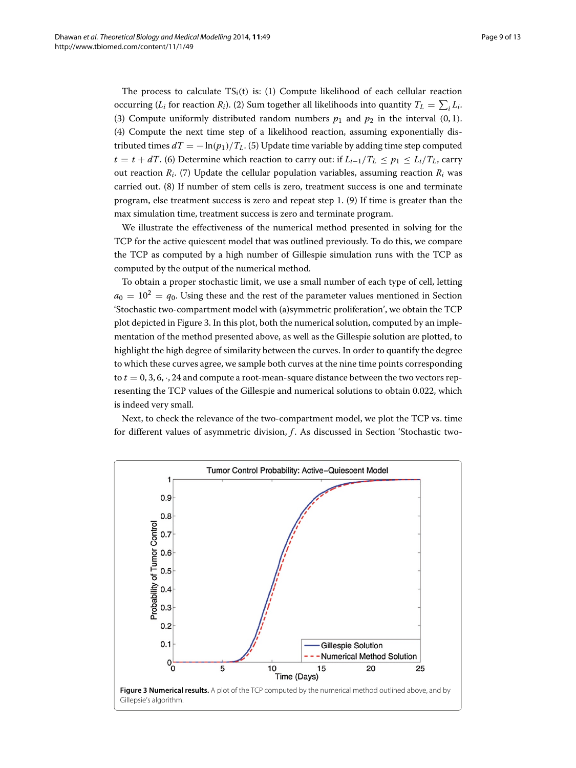The process to calculate  $TS_i(t)$  is: (1) Compute likelihood of each cellular reaction occurring ( $L_i$  for reaction  $R_i$ ). (2) Sum together all likelihoods into quantity  $T_L = \sum_i L_i$ . (3) Compute uniformly distributed random numbers  $p_1$  and  $p_2$  in the interval (0, 1). (4) Compute the next time step of a likelihood reaction, assuming exponentially distributed times  $dT = -\ln(p_1)/T_L$ . (5) Update time variable by adding time step computed *t* = *t* + *dT*. (6) Determine which reaction to carry out: if  $L_{i-1}/T_L \le p_1 \le L_i/T_L$ , carry out reaction *Ri*. (7) Update the cellular population variables, assuming reaction *Ri* was carried out. (8) If number of stem cells is zero, treatment success is one and terminate program, else treatment success is zero and repeat step 1. (9) If time is greater than the max simulation time, treatment success is zero and terminate program.

We illustrate the effectiveness of the numerical method presented in solving for the TCP for the active quiescent model that was outlined previously. To do this, we compare the TCP as computed by a high number of Gillespie simulation runs with the TCP as computed by the output of the numerical method.

To obtain a proper stochastic limit, we use a small number of each type of cell, letting  $a_0 = 10^2 = q_0$ . Using these and the rest of the parameter values mentioned in Section ['Stochastic two-compartment model with \(a\)symmetric proliferation'](#page-2-2), we obtain the TCP plot depicted in Figure [3.](#page-8-0) In this plot, both the numerical solution, computed by an implementation of the method presented above, as well as the Gillespie solution are plotted, to highlight the high degree of similarity between the curves. In order to quantify the degree to which these curves agree, we sample both curves at the nine time points corresponding to  $t = 0, 3, 6, \cdot, 24$  and compute a root-mean-square distance between the two vectors representing the TCP values of the Gillespie and numerical solutions to obtain 0.022, which is indeed very small.

Next, to check the relevance of the two-compartment model, we plot the TCP vs. time for different values of asymmetric division, *f* . As discussed in Section ['Stochastic two-](#page-2-0)

<span id="page-8-0"></span>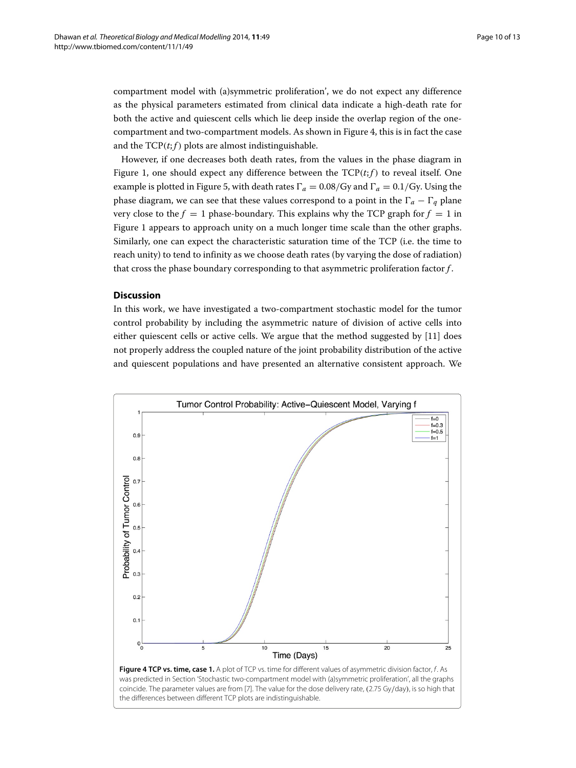[compartment model with \(a\)symmetric proliferation'](#page-2-0), we do not expect any difference as the physical parameters estimated from clinical data indicate a high-death rate for both the active and quiescent cells which lie deep inside the overlap region of the onecompartment and two-compartment models. As shown in Figure [4,](#page-9-0) this is in fact the case and the  $TCP(t; f)$  plots are almost indistinguishable.

However, if one decreases both death rates, from the values in the phase diagram in Figure [1,](#page-5-1) one should expect any difference between the  $TCP(t; f)$  to reveal itself. One example is plotted in Figure [5,](#page-10-0) with death rates  $\Gamma_a = 0.08$ /Gy and  $\Gamma_a = 0.1$ /Gy. Using the phase diagram, we can see that these values correspond to a point in the  $\Gamma_a - \Gamma_a$  plane very close to the  $f = 1$  phase-boundary. This explains why the TCP graph for  $f = 1$  in Figure [1](#page-5-1) appears to approach unity on a much longer time scale than the other graphs. Similarly, one can expect the characteristic saturation time of the TCP (i.e. the time to reach unity) to tend to infinity as we choose death rates (by varying the dose of radiation) that cross the phase boundary corresponding to that asymmetric proliferation factor *f* .

# **Discussion**

In this work, we have investigated a two-compartment stochastic model for the tumor control probability by including the asymmetric nature of division of active cells into either quiescent cells or active cells. We argue that the method suggested by [\[11\]](#page-12-3) does not properly address the coupled nature of the joint probability distribution of the active and quiescent populations and have presented an alternative consistent approach. We

![](_page_9_Figure_6.jpeg)

<span id="page-9-0"></span>![](_page_9_Figure_7.jpeg)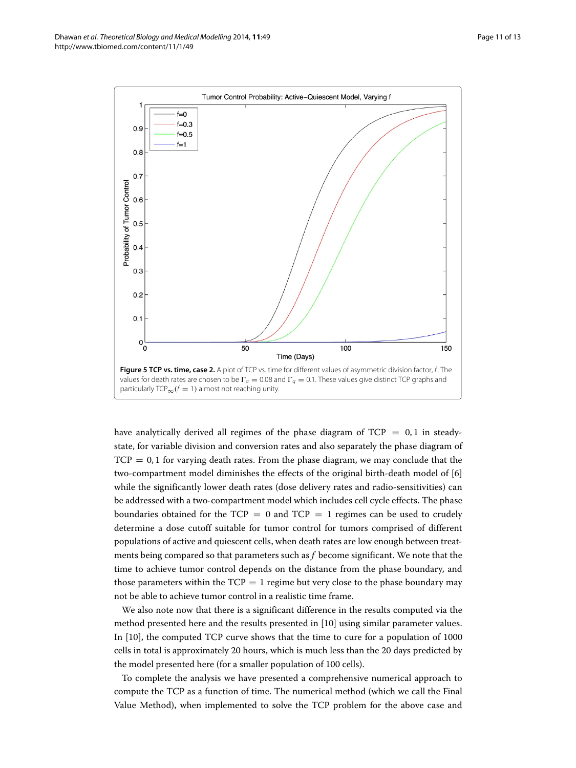![](_page_10_Figure_2.jpeg)

<span id="page-10-0"></span>have analytically derived all regimes of the phase diagram of  $TCP = 0, 1$  in steadystate, for variable division and conversion rates and also separately the phase diagram of  $TCP = 0, 1$  for varying death rates. From the phase diagram, we may conclude that the two-compartment model diminishes the effects of the original birth-death model of [\[6\]](#page-11-5) while the significantly lower death rates (dose delivery rates and radio-sensitivities) can be addressed with a two-compartment model which includes cell cycle effects. The phase boundaries obtained for the  $TCP = 0$  and  $TCP = 1$  regimes can be used to crudely determine a dose cutoff suitable for tumor control for tumors comprised of different populations of active and quiescent cells, when death rates are low enough between treatments being compared so that parameters such as *f* become significant. We note that the time to achieve tumor control depends on the distance from the phase boundary, and those parameters within the  $TCP = 1$  regime but very close to the phase boundary may not be able to achieve tumor control in a realistic time frame.

We also note now that there is a significant difference in the results computed via the method presented here and the results presented in [\[10\]](#page-12-2) using similar parameter values. In [\[10\]](#page-12-2), the computed TCP curve shows that the time to cure for a population of 1000 cells in total is approximately 20 hours, which is much less than the 20 days predicted by the model presented here (for a smaller population of 100 cells).

To complete the analysis we have presented a comprehensive numerical approach to compute the TCP as a function of time. The numerical method (which we call the Final Value Method), when implemented to solve the TCP problem for the above case and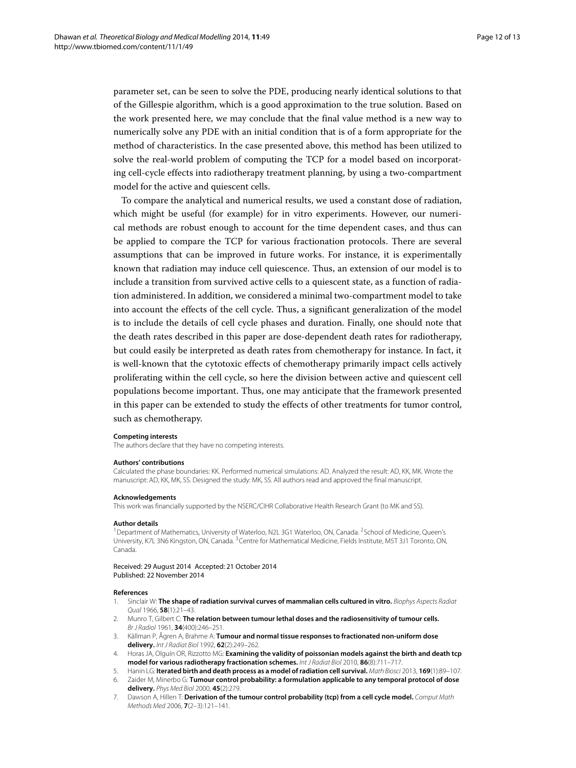parameter set, can be seen to solve the PDE, producing nearly identical solutions to that of the Gillespie algorithm, which is a good approximation to the true solution. Based on the work presented here, we may conclude that the final value method is a new way to numerically solve any PDE with an initial condition that is of a form appropriate for the method of characteristics. In the case presented above, this method has been utilized to solve the real-world problem of computing the TCP for a model based on incorporating cell-cycle effects into radiotherapy treatment planning, by using a two-compartment model for the active and quiescent cells.

To compare the analytical and numerical results, we used a constant dose of radiation, which might be useful (for example) for in vitro experiments. However, our numerical methods are robust enough to account for the time dependent cases, and thus can be applied to compare the TCP for various fractionation protocols. There are several assumptions that can be improved in future works. For instance, it is experimentally known that radiation may induce cell quiescence. Thus, an extension of our model is to include a transition from survived active cells to a quiescent state, as a function of radiation administered. In addition, we considered a minimal two-compartment model to take into account the effects of the cell cycle. Thus, a significant generalization of the model is to include the details of cell cycle phases and duration. Finally, one should note that the death rates described in this paper are dose-dependent death rates for radiotherapy, but could easily be interpreted as death rates from chemotherapy for instance. In fact, it is well-known that the cytotoxic effects of chemotherapy primarily impact cells actively proliferating within the cell cycle, so here the division between active and quiescent cell populations become important. Thus, one may anticipate that the framework presented in this paper can be extended to study the effects of other treatments for tumor control, such as chemotherapy.

#### **Competing interests**

The authors declare that they have no competing interests.

#### **Authors' contributions**

Calculated the phase boundaries: KK. Performed numerical simulations: AD. Analyzed the result: AD, KK, MK. Wrote the manuscript: AD, KK, MK, SS. Designed the study: MK, SS. All authors read and approved the final manuscript.

#### **Acknowledgements**

This work was financially supported by the NSERC/CIHR Collaborative Health Research Grant (to MK and SS).

#### **Author details**

<sup>1</sup> Department of Mathematics, University of Waterloo, N2L 3G1 Waterloo, ON, Canada. <sup>2</sup>School of Medicine, Queen's University, K7L 3N6 Kingston, ON, Canada. <sup>3</sup>Centre for Mathematical Medicine, Fields Institute, M5T 3J1 Toronto, ON, Canada.

Received: 29 August 2014 Accepted: 21 October 2014 Published: 22 November 2014

#### **References**

- <span id="page-11-0"></span>1. Sinclair W: **The shape of radiation survival curves of mammalian cells cultured in vitro.** Biophys Aspects Radiat Qual 1966, **58**(1):21–43.
- <span id="page-11-1"></span>2. Munro T, Gilbert C: **The relation between tumour lethal doses and the radiosensitivity of tumour cells.** Br J Radiol 1961, **34**(400):246–251.
- <span id="page-11-2"></span>3. Källman P, Ågren A, Brahme A: **Tumour and normal tissue responses to fractionated non-uniform dose delivery.** Int J Radiat Biol 1992, **62**(2):249–262.
- <span id="page-11-3"></span>4. Horas JA, Olguín OR, Rizzotto MG: **Examining the validity of poissonian models against the birth and death tcp model for various radiotherapy fractionation schemes.** Int J Radiat Biol 2010, **86**(8):711–717.
- <span id="page-11-4"></span>5. Hanin LG: **Iterated birth and death process as a model of radiation cell survival.** Math Biosci 2013, **169**(1):89–107. 6. Zaider M, Minerbo G: **Tumour control probability: a formulation applicable to any temporal protocol of dose**
- <span id="page-11-6"></span><span id="page-11-5"></span>**delivery.** Phys Med Biol 2000, **45**(2):279. 7. Dawson A, Hillen T: **Derivation of the tumour control probability (tcp) from a cell cycle model.** Comput Math Methods Med 2006, **7**(2–3):121–141.